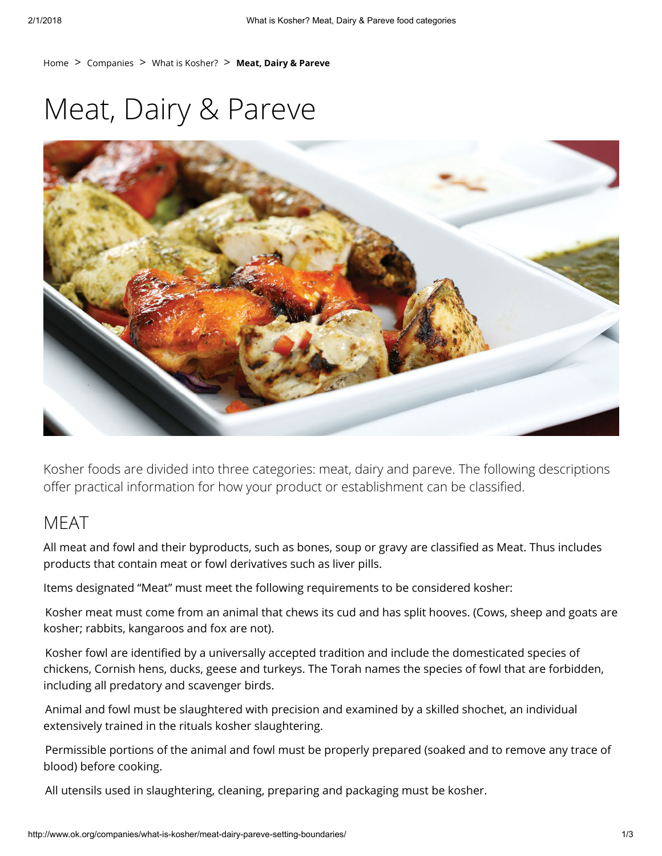[Home](http://www.ok.org/)  $>$  [Companies](http://www.ok.org/companies/)  $>$  [What is Kosher?](http://www.ok.org/companies/what-is-kosher/)  $>$  Meat, Dairy & Pareve

# Meat, Dairy & Pareve



Kosher foods are divided into three categories: meat, dairy and pareve. The following descriptions offer practical information for how your product or establishment can be classified.

# MEAT

All meat and fowl and their byproducts, such as bones, soup or gravy are classified as Meat. Thus includes products that contain meat or fowl derivatives such as liver pills.

Items designated "Meat" must meet the following requirements to be considered kosher:

Kosher meat must come from an animal that chews its cud and has split hooves. (Cows, sheep and goats are kosher; rabbits, kangaroos and fox are not).

Kosher fowl are identified by a universally accepted tradition and include the domesticated species of chickens, Cornish hens, ducks, geese and turkeys. The Torah names the species of fowl that are forbidden, including all predatory and scavenger birds.

Animal and fowl must be slaughtered with precision and examined by a skilled shochet, an individual extensively trained in the rituals kosher slaughtering.

Permissible portions of the animal and fowl must be properly prepared (soaked and to remove any trace of blood) before cooking.

All utensils used in slaughtering, cleaning, preparing and packaging must be kosher.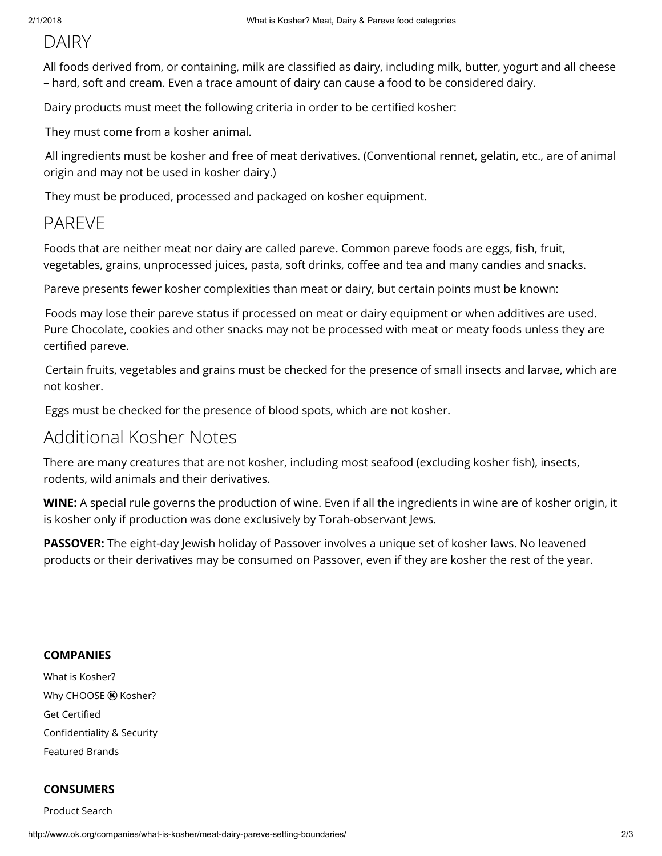# DAIRY

All foods derived from, or containing, milk are classified as dairy, including milk, butter, yogurt and all cheese – hard, soft and cream. Even a trace amount of dairy can cause a food to be considered dairy.

Dairy products must meet the following criteria in order to be certified kosher:

They must come from a kosher animal.

All ingredients must be kosher and free of meat derivatives. (Conventional rennet, gelatin, etc., are of animal origin and may not be used in kosher dairy.)

They must be produced, processed and packaged on kosher equipment.

## PAREVE

Foods that are neither meat nor dairy are called pareve. Common pareve foods are eggs, fish, fruit, vegetables, grains, unprocessed juices, pasta, soft drinks, coffee and tea and many candies and snacks.

Pareve presents fewer kosher complexities than meat or dairy, but certain points must be known:

Foods may lose their pareve status if processed on meat or dairy equipment or when additives are used. Pure Chocolate, cookies and other snacks may not be processed with meat or meaty foods unless they are certified pareve.

Certain fruits, vegetables and grains must be checked for the presence of small insects and larvae, which are not kosher.

Eggs must be checked for the presence of blood spots, which are not kosher.

### Additional Kosher Notes

There are many creatures that are not kosher, including most seafood (excluding kosher fish), insects, rodents, wild animals and their derivatives.

WINE: A special rule governs the production of wine. Even if all the ingredients in wine are of kosher origin, it is kosher only if production was done exclusively by Torah-observant Jews.

PASSOVER: The eight-day Jewish holiday of Passover involves a unique set of kosher laws. No leavened products or their derivatives may be consumed on Passover, even if they are kosher the rest of the year.

#### **COMPANIES**

[What is Kosher?](http://www.ok.org/companies/what-is-kosher/) Why CHOOSE  $\circledR$  Kosher? **Get Certified** Confidentiality & Security [Featured Brands](http://www.ok.org/companies/featured-brands)

#### **CONSUMERS**

[Product Search](http://www.ok.org/consumers/kosher-food-guide/)